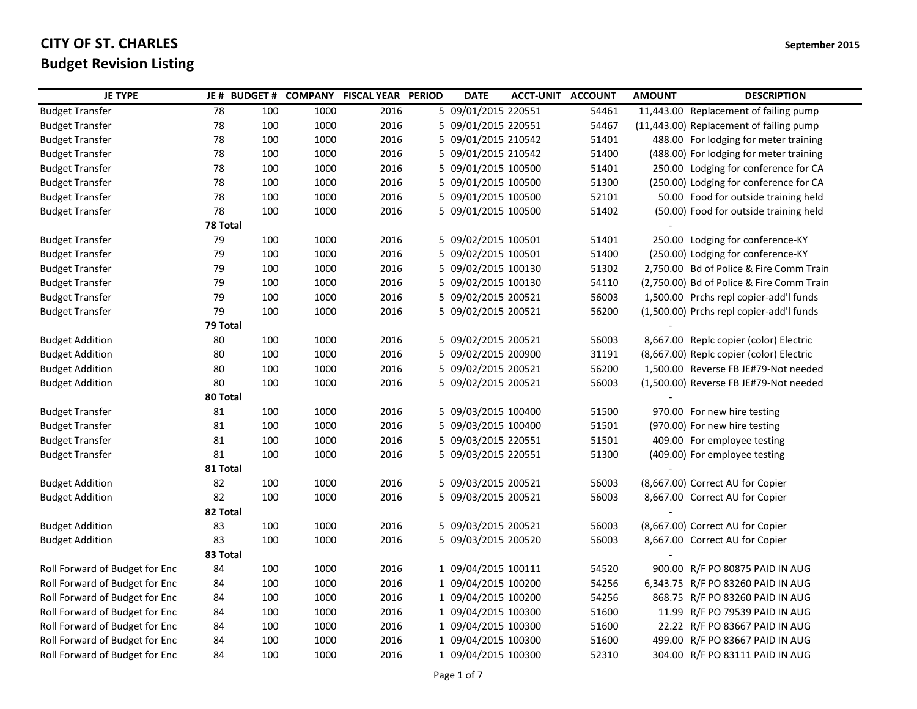| <b>JE TYPE</b>                 |          | JE # BUDGET # |      | <b>COMPANY FISCAL YEAR PERIOD</b> | <b>DATE</b>         | <b>ACCT-UNIT ACCOUNT</b> |       | <b>AMOUNT</b> | <b>DESCRIPTION</b>                        |
|--------------------------------|----------|---------------|------|-----------------------------------|---------------------|--------------------------|-------|---------------|-------------------------------------------|
| <b>Budget Transfer</b>         | 78       | 100           | 1000 | 2016                              | 5 09/01/2015 220551 |                          | 54461 |               | 11,443.00 Replacement of failing pump     |
| <b>Budget Transfer</b>         | 78       | 100           | 1000 | 2016                              | 5 09/01/2015 220551 |                          | 54467 |               | (11,443.00) Replacement of failing pump   |
| <b>Budget Transfer</b>         | 78       | 100           | 1000 | 2016                              | 5 09/01/2015 210542 |                          | 51401 |               | 488.00 For lodging for meter training     |
| <b>Budget Transfer</b>         | 78       | 100           | 1000 | 2016                              | 5 09/01/2015 210542 |                          | 51400 |               | (488.00) For lodging for meter training   |
| <b>Budget Transfer</b>         | 78       | 100           | 1000 | 2016                              | 5 09/01/2015 100500 |                          | 51401 |               | 250.00 Lodging for conference for CA      |
| <b>Budget Transfer</b>         | 78       | 100           | 1000 | 2016                              | 5 09/01/2015 100500 |                          | 51300 |               | (250.00) Lodging for conference for CA    |
| <b>Budget Transfer</b>         | 78       | 100           | 1000 | 2016                              | 5 09/01/2015 100500 |                          | 52101 |               | 50.00 Food for outside training held      |
| <b>Budget Transfer</b>         | 78       | 100           | 1000 | 2016                              | 5 09/01/2015 100500 |                          | 51402 |               | (50.00) Food for outside training held    |
|                                | 78 Total |               |      |                                   |                     |                          |       |               |                                           |
| <b>Budget Transfer</b>         | 79       | 100           | 1000 | 2016                              | 5 09/02/2015 100501 |                          | 51401 |               | 250.00 Lodging for conference-KY          |
| <b>Budget Transfer</b>         | 79       | 100           | 1000 | 2016                              | 5 09/02/2015 100501 |                          | 51400 |               | (250.00) Lodging for conference-KY        |
| <b>Budget Transfer</b>         | 79       | 100           | 1000 | 2016                              | 5 09/02/2015 100130 |                          | 51302 |               | 2,750.00 Bd of Police & Fire Comm Train   |
| <b>Budget Transfer</b>         | 79       | 100           | 1000 | 2016                              | 5 09/02/2015 100130 |                          | 54110 |               | (2,750.00) Bd of Police & Fire Comm Train |
| <b>Budget Transfer</b>         | 79       | 100           | 1000 | 2016                              | 5 09/02/2015 200521 |                          | 56003 |               | 1,500.00 Prchs repl copier-add'l funds    |
| <b>Budget Transfer</b>         | 79       | 100           | 1000 | 2016                              | 5 09/02/2015 200521 |                          | 56200 |               | (1,500.00) Prchs repl copier-add'l funds  |
|                                | 79 Total |               |      |                                   |                     |                          |       |               |                                           |
| Budget Addition                | 80       | 100           | 1000 | 2016                              | 5 09/02/2015 200521 |                          | 56003 |               | 8,667.00 Replc copier (color) Electric    |
| <b>Budget Addition</b>         | 80       | 100           | 1000 | 2016                              | 5 09/02/2015 200900 |                          | 31191 |               | (8,667.00) Replc copier (color) Electric  |
| <b>Budget Addition</b>         | 80       | 100           | 1000 | 2016                              | 5 09/02/2015 200521 |                          | 56200 |               | 1,500.00 Reverse FB JE#79-Not needed      |
| <b>Budget Addition</b>         | 80       | 100           | 1000 | 2016                              | 5 09/02/2015 200521 |                          | 56003 |               | (1,500.00) Reverse FB JE#79-Not needed    |
|                                | 80 Total |               |      |                                   |                     |                          |       |               |                                           |
| <b>Budget Transfer</b>         | 81       | 100           | 1000 | 2016                              | 5 09/03/2015 100400 |                          | 51500 |               | 970.00 For new hire testing               |
| <b>Budget Transfer</b>         | 81       | 100           | 1000 | 2016                              | 5 09/03/2015 100400 |                          | 51501 |               | (970.00) For new hire testing             |
| <b>Budget Transfer</b>         | 81       | 100           | 1000 | 2016                              | 5 09/03/2015 220551 |                          | 51501 |               | 409.00 For employee testing               |
| <b>Budget Transfer</b>         | 81       | 100           | 1000 | 2016                              | 5 09/03/2015 220551 |                          | 51300 |               | (409.00) For employee testing             |
|                                | 81 Total |               |      |                                   |                     |                          |       |               |                                           |
| <b>Budget Addition</b>         | 82       | 100           | 1000 | 2016                              | 5 09/03/2015 200521 |                          | 56003 |               | (8,667.00) Correct AU for Copier          |
| <b>Budget Addition</b>         | 82       | 100           | 1000 | 2016                              | 5 09/03/2015 200521 |                          | 56003 |               | 8,667.00 Correct AU for Copier            |
|                                | 82 Total |               |      |                                   |                     |                          |       |               |                                           |
| <b>Budget Addition</b>         | 83       | 100           | 1000 | 2016                              | 5 09/03/2015 200521 |                          | 56003 |               | (8,667.00) Correct AU for Copier          |
| <b>Budget Addition</b>         | 83       | 100           | 1000 | 2016                              | 5 09/03/2015 200520 |                          | 56003 |               | 8,667.00 Correct AU for Copier            |
|                                | 83 Total |               |      |                                   |                     |                          |       |               |                                           |
| Roll Forward of Budget for Enc | 84       | 100           | 1000 | 2016                              | 1 09/04/2015 100111 |                          | 54520 |               | 900.00 R/F PO 80875 PAID IN AUG           |
| Roll Forward of Budget for Enc | 84       | 100           | 1000 | 2016                              | 1 09/04/2015 100200 |                          | 54256 |               | 6,343.75 R/F PO 83260 PAID IN AUG         |
| Roll Forward of Budget for Enc | 84       | 100           | 1000 | 2016                              | 1 09/04/2015 100200 |                          | 54256 |               | 868.75 R/F PO 83260 PAID IN AUG           |
| Roll Forward of Budget for Enc | 84       | 100           | 1000 | 2016                              | 1 09/04/2015 100300 |                          | 51600 |               | 11.99 R/F PO 79539 PAID IN AUG            |
| Roll Forward of Budget for Enc | 84       | 100           | 1000 | 2016                              | 1 09/04/2015 100300 |                          | 51600 |               | 22.22 R/F PO 83667 PAID IN AUG            |
| Roll Forward of Budget for Enc | 84       | 100           | 1000 | 2016                              | 1 09/04/2015 100300 |                          | 51600 |               | 499.00 R/F PO 83667 PAID IN AUG           |
| Roll Forward of Budget for Enc | 84       | 100           | 1000 | 2016                              | 1 09/04/2015 100300 |                          | 52310 |               | 304.00 R/F PO 83111 PAID IN AUG           |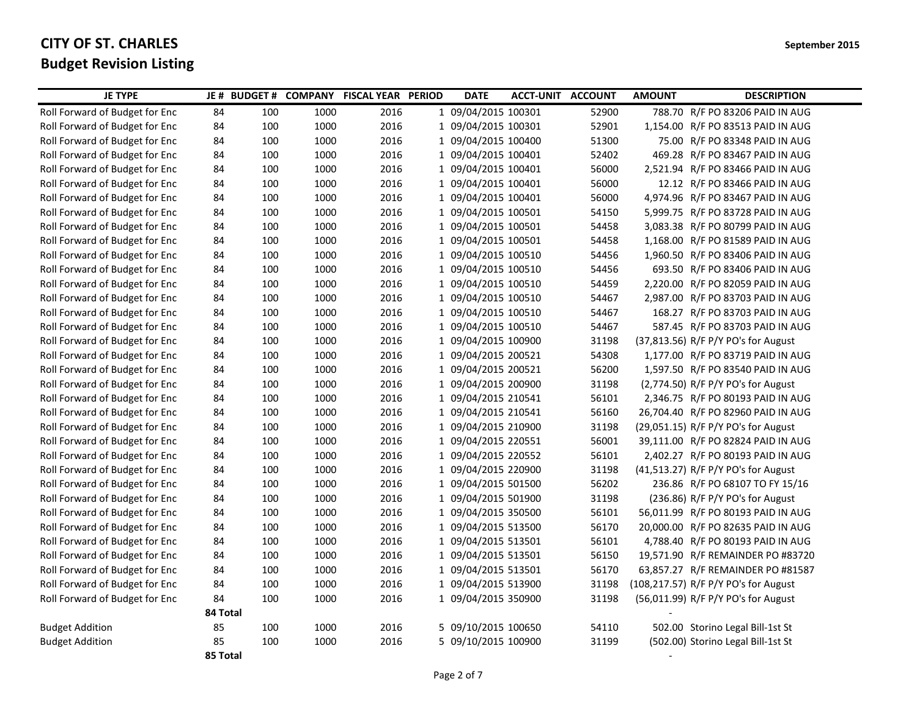| <b>JE TYPE</b>                 |          | JE # BUDGET # |      | <b>COMPANY FISCAL YEAR PERIOD</b> | <b>DATE</b>         | <b>ACCT-UNIT ACCOUNT</b> |       | <b>AMOUNT</b> | <b>DESCRIPTION</b>                   |
|--------------------------------|----------|---------------|------|-----------------------------------|---------------------|--------------------------|-------|---------------|--------------------------------------|
| Roll Forward of Budget for Enc | 84       | 100           | 1000 | 2016                              | 1 09/04/2015 100301 |                          | 52900 |               | 788.70 R/F PO 83206 PAID IN AUG      |
| Roll Forward of Budget for Enc | 84       | 100           | 1000 | 2016                              | 1 09/04/2015 100301 |                          | 52901 |               | 1,154.00 R/F PO 83513 PAID IN AUG    |
| Roll Forward of Budget for Enc | 84       | 100           | 1000 | 2016                              | 1 09/04/2015 100400 |                          | 51300 |               | 75.00 R/F PO 83348 PAID IN AUG       |
| Roll Forward of Budget for Enc | 84       | 100           | 1000 | 2016                              | 1 09/04/2015 100401 |                          | 52402 |               | 469.28 R/F PO 83467 PAID IN AUG      |
| Roll Forward of Budget for Enc | 84       | 100           | 1000 | 2016                              | 1 09/04/2015 100401 |                          | 56000 |               | 2,521.94 R/F PO 83466 PAID IN AUG    |
| Roll Forward of Budget for Enc | 84       | 100           | 1000 | 2016                              | 1 09/04/2015 100401 |                          | 56000 |               | 12.12 R/F PO 83466 PAID IN AUG       |
| Roll Forward of Budget for Enc | 84       | 100           | 1000 | 2016                              | 1 09/04/2015 100401 |                          | 56000 |               | 4,974.96 R/F PO 83467 PAID IN AUG    |
| Roll Forward of Budget for Enc | 84       | 100           | 1000 | 2016                              | 1 09/04/2015 100501 |                          | 54150 |               | 5,999.75 R/F PO 83728 PAID IN AUG    |
| Roll Forward of Budget for Enc | 84       | 100           | 1000 | 2016                              | 1 09/04/2015 100501 |                          | 54458 |               | 3,083.38 R/F PO 80799 PAID IN AUG    |
| Roll Forward of Budget for Enc | 84       | 100           | 1000 | 2016                              | 1 09/04/2015 100501 |                          | 54458 |               | 1,168.00 R/F PO 81589 PAID IN AUG    |
| Roll Forward of Budget for Enc | 84       | 100           | 1000 | 2016                              | 1 09/04/2015 100510 |                          | 54456 |               | 1,960.50 R/F PO 83406 PAID IN AUG    |
| Roll Forward of Budget for Enc | 84       | 100           | 1000 | 2016                              | 1 09/04/2015 100510 |                          | 54456 |               | 693.50 R/F PO 83406 PAID IN AUG      |
| Roll Forward of Budget for Enc | 84       | 100           | 1000 | 2016                              | 1 09/04/2015 100510 |                          | 54459 |               | 2,220.00 R/F PO 82059 PAID IN AUG    |
| Roll Forward of Budget for Enc | 84       | 100           | 1000 | 2016                              | 1 09/04/2015 100510 |                          | 54467 |               | 2,987.00 R/F PO 83703 PAID IN AUG    |
| Roll Forward of Budget for Enc | 84       | 100           | 1000 | 2016                              | 1 09/04/2015 100510 |                          | 54467 |               | 168.27 R/F PO 83703 PAID IN AUG      |
| Roll Forward of Budget for Enc | 84       | 100           | 1000 | 2016                              | 1 09/04/2015 100510 |                          | 54467 |               | 587.45 R/F PO 83703 PAID IN AUG      |
| Roll Forward of Budget for Enc | 84       | 100           | 1000 | 2016                              | 1 09/04/2015 100900 |                          | 31198 |               | (37,813.56) R/F P/Y PO's for August  |
| Roll Forward of Budget for Enc | 84       | 100           | 1000 | 2016                              | 1 09/04/2015 200521 |                          | 54308 |               | 1,177.00 R/F PO 83719 PAID IN AUG    |
| Roll Forward of Budget for Enc | 84       | 100           | 1000 | 2016                              | 1 09/04/2015 200521 |                          | 56200 |               | 1,597.50 R/F PO 83540 PAID IN AUG    |
| Roll Forward of Budget for Enc | 84       | 100           | 1000 | 2016                              | 1 09/04/2015 200900 |                          | 31198 |               | (2,774.50) R/F P/Y PO's for August   |
| Roll Forward of Budget for Enc | 84       | 100           | 1000 | 2016                              | 1 09/04/2015 210541 |                          | 56101 |               | 2,346.75 R/F PO 80193 PAID IN AUG    |
| Roll Forward of Budget for Enc | 84       | 100           | 1000 | 2016                              | 1 09/04/2015 210541 |                          | 56160 |               | 26,704.40 R/F PO 82960 PAID IN AUG   |
| Roll Forward of Budget for Enc | 84       | 100           | 1000 | 2016                              | 1 09/04/2015 210900 |                          | 31198 |               | (29,051.15) R/F P/Y PO's for August  |
| Roll Forward of Budget for Enc | 84       | 100           | 1000 | 2016                              | 1 09/04/2015 220551 |                          | 56001 |               | 39,111.00 R/F PO 82824 PAID IN AUG   |
| Roll Forward of Budget for Enc | 84       | 100           | 1000 | 2016                              | 1 09/04/2015 220552 |                          | 56101 |               | 2,402.27 R/F PO 80193 PAID IN AUG    |
| Roll Forward of Budget for Enc | 84       | 100           | 1000 | 2016                              | 1 09/04/2015 220900 |                          | 31198 |               | (41,513.27) R/F P/Y PO's for August  |
| Roll Forward of Budget for Enc | 84       | 100           | 1000 | 2016                              | 1 09/04/2015 501500 |                          | 56202 |               | 236.86 R/F PO 68107 TO FY 15/16      |
| Roll Forward of Budget for Enc | 84       | 100           | 1000 | 2016                              | 1 09/04/2015 501900 |                          | 31198 |               | $(236.86)$ R/F P/Y PO's for August   |
| Roll Forward of Budget for Enc | 84       | 100           | 1000 | 2016                              | 1 09/04/2015 350500 |                          | 56101 |               | 56,011.99 R/F PO 80193 PAID IN AUG   |
| Roll Forward of Budget for Enc | 84       | 100           | 1000 | 2016                              | 1 09/04/2015 513500 |                          | 56170 |               | 20,000.00 R/F PO 82635 PAID IN AUG   |
| Roll Forward of Budget for Enc | 84       | 100           | 1000 | 2016                              | 1 09/04/2015 513501 |                          | 56101 |               | 4,788.40 R/F PO 80193 PAID IN AUG    |
| Roll Forward of Budget for Enc | 84       | 100           | 1000 | 2016                              | 1 09/04/2015 513501 |                          | 56150 |               | 19,571.90 R/F REMAINDER PO #83720    |
| Roll Forward of Budget for Enc | 84       | 100           | 1000 | 2016                              | 1 09/04/2015 513501 |                          | 56170 |               | 63,857.27 R/F REMAINDER PO #81587    |
| Roll Forward of Budget for Enc | 84       | 100           | 1000 | 2016                              | 1 09/04/2015 513900 |                          | 31198 |               | (108,217.57) R/F P/Y PO's for August |
| Roll Forward of Budget for Enc | 84       | 100           | 1000 | 2016                              | 1 09/04/2015 350900 |                          | 31198 |               | (56,011.99) R/F P/Y PO's for August  |
|                                | 84 Total |               |      |                                   |                     |                          |       |               |                                      |
| <b>Budget Addition</b>         | 85       | 100           | 1000 | 2016                              | 5 09/10/2015 100650 |                          | 54110 |               | 502.00 Storino Legal Bill-1st St     |
| <b>Budget Addition</b>         | 85       | 100           | 1000 | 2016                              | 5 09/10/2015 100900 |                          | 31199 |               | (502.00) Storino Legal Bill-1st St   |
|                                | 85 Total |               |      |                                   |                     |                          |       |               |                                      |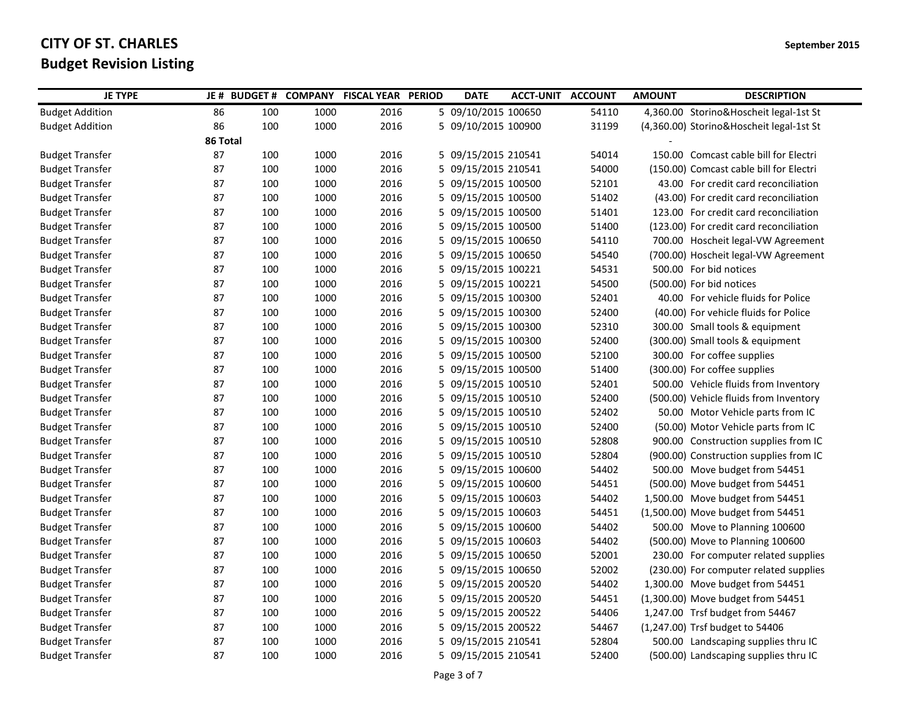| <b>JE TYPE</b>         | JE # BUDGET # |     |      | <b>COMPANY FISCAL YEAR PERIOD</b> | <b>DATE</b>         | <b>ACCT-UNIT ACCOUNT</b> |       | <b>AMOUNT</b> | <b>DESCRIPTION</b>                       |
|------------------------|---------------|-----|------|-----------------------------------|---------------------|--------------------------|-------|---------------|------------------------------------------|
| <b>Budget Addition</b> | 86            | 100 | 1000 | 2016                              | 5 09/10/2015 100650 |                          | 54110 |               | 4,360.00 Storino&Hoscheit legal-1st St   |
| <b>Budget Addition</b> | 86            | 100 | 1000 | 2016                              | 5 09/10/2015 100900 |                          | 31199 |               | (4,360.00) Storino&Hoscheit legal-1st St |
|                        | 86 Total      |     |      |                                   |                     |                          |       |               |                                          |
| Budget Transfer        | 87            | 100 | 1000 | 2016                              | 5 09/15/2015 210541 |                          | 54014 |               | 150.00 Comcast cable bill for Electri    |
| <b>Budget Transfer</b> | 87            | 100 | 1000 | 2016                              | 5 09/15/2015 210541 |                          | 54000 |               | (150.00) Comcast cable bill for Electri  |
| <b>Budget Transfer</b> | 87            | 100 | 1000 | 2016                              | 5 09/15/2015 100500 |                          | 52101 |               | 43.00 For credit card reconciliation     |
| <b>Budget Transfer</b> | 87            | 100 | 1000 | 2016                              | 5 09/15/2015 100500 |                          | 51402 |               | (43.00) For credit card reconciliation   |
| <b>Budget Transfer</b> | 87            | 100 | 1000 | 2016                              | 5 09/15/2015 100500 |                          | 51401 |               | 123.00 For credit card reconciliation    |
| <b>Budget Transfer</b> | 87            | 100 | 1000 | 2016                              | 5 09/15/2015 100500 |                          | 51400 |               | (123.00) For credit card reconciliation  |
| <b>Budget Transfer</b> | 87            | 100 | 1000 | 2016                              | 5 09/15/2015 100650 |                          | 54110 |               | 700.00 Hoscheit legal-VW Agreement       |
| <b>Budget Transfer</b> | 87            | 100 | 1000 | 2016                              | 5 09/15/2015 100650 |                          | 54540 |               | (700.00) Hoscheit legal-VW Agreement     |
| <b>Budget Transfer</b> | 87            | 100 | 1000 | 2016                              | 5 09/15/2015 100221 |                          | 54531 |               | 500.00 For bid notices                   |
| <b>Budget Transfer</b> | 87            | 100 | 1000 | 2016                              | 5 09/15/2015 100221 |                          | 54500 |               | (500.00) For bid notices                 |
| <b>Budget Transfer</b> | 87            | 100 | 1000 | 2016                              | 5 09/15/2015 100300 |                          | 52401 |               | 40.00 For vehicle fluids for Police      |
| <b>Budget Transfer</b> | 87            | 100 | 1000 | 2016                              | 5 09/15/2015 100300 |                          | 52400 |               | (40.00) For vehicle fluids for Police    |
| <b>Budget Transfer</b> | 87            | 100 | 1000 | 2016                              | 5 09/15/2015 100300 |                          | 52310 |               | 300.00 Small tools & equipment           |
| <b>Budget Transfer</b> | 87            | 100 | 1000 | 2016                              | 5 09/15/2015 100300 |                          | 52400 |               | (300.00) Small tools & equipment         |
| <b>Budget Transfer</b> | 87            | 100 | 1000 | 2016                              | 5 09/15/2015 100500 |                          | 52100 |               | 300.00 For coffee supplies               |
| <b>Budget Transfer</b> | 87            | 100 | 1000 | 2016                              | 5 09/15/2015 100500 |                          | 51400 |               | (300.00) For coffee supplies             |
| <b>Budget Transfer</b> | 87            | 100 | 1000 | 2016                              | 5 09/15/2015 100510 |                          | 52401 |               | 500.00 Vehicle fluids from Inventory     |
| <b>Budget Transfer</b> | 87            | 100 | 1000 | 2016                              | 5 09/15/2015 100510 |                          | 52400 |               | (500.00) Vehicle fluids from Inventory   |
| <b>Budget Transfer</b> | 87            | 100 | 1000 | 2016                              | 5 09/15/2015 100510 |                          | 52402 |               | 50.00 Motor Vehicle parts from IC        |
| <b>Budget Transfer</b> | 87            | 100 | 1000 | 2016                              | 5 09/15/2015 100510 |                          | 52400 |               | (50.00) Motor Vehicle parts from IC      |
| <b>Budget Transfer</b> | 87            | 100 | 1000 | 2016                              | 5 09/15/2015 100510 |                          | 52808 |               | 900.00 Construction supplies from IC     |
| <b>Budget Transfer</b> | 87            | 100 | 1000 | 2016                              | 5 09/15/2015 100510 |                          | 52804 |               | (900.00) Construction supplies from IC   |
| <b>Budget Transfer</b> | 87            | 100 | 1000 | 2016                              | 5 09/15/2015 100600 |                          | 54402 |               | 500.00 Move budget from 54451            |
| <b>Budget Transfer</b> | 87            | 100 | 1000 | 2016                              | 5 09/15/2015 100600 |                          | 54451 |               | (500.00) Move budget from 54451          |
| <b>Budget Transfer</b> | 87            | 100 | 1000 | 2016                              | 5 09/15/2015 100603 |                          | 54402 |               | 1,500.00 Move budget from 54451          |
| <b>Budget Transfer</b> | 87            | 100 | 1000 | 2016                              | 5 09/15/2015 100603 |                          | 54451 |               | (1,500.00) Move budget from 54451        |
| <b>Budget Transfer</b> | 87            | 100 | 1000 | 2016                              | 5 09/15/2015 100600 |                          | 54402 |               | 500.00 Move to Planning 100600           |
| <b>Budget Transfer</b> | 87            | 100 | 1000 | 2016                              | 5 09/15/2015 100603 |                          | 54402 |               | (500.00) Move to Planning 100600         |
| <b>Budget Transfer</b> | 87            | 100 | 1000 | 2016                              | 5 09/15/2015 100650 |                          | 52001 |               | 230.00 For computer related supplies     |
| <b>Budget Transfer</b> | 87            | 100 | 1000 | 2016                              | 5 09/15/2015 100650 |                          | 52002 |               | (230.00) For computer related supplies   |
| <b>Budget Transfer</b> | 87            | 100 | 1000 | 2016                              | 5 09/15/2015 200520 |                          | 54402 |               | 1,300.00 Move budget from 54451          |
| <b>Budget Transfer</b> | 87            | 100 | 1000 | 2016                              | 5 09/15/2015 200520 |                          | 54451 |               | (1,300.00) Move budget from 54451        |
| <b>Budget Transfer</b> | 87            | 100 | 1000 | 2016                              | 5 09/15/2015 200522 |                          | 54406 |               | 1,247.00 Trsf budget from 54467          |
| <b>Budget Transfer</b> | 87            | 100 | 1000 | 2016                              | 5 09/15/2015 200522 |                          | 54467 |               | (1,247.00) Trsf budget to 54406          |
| <b>Budget Transfer</b> | 87            | 100 | 1000 | 2016                              | 5 09/15/2015 210541 |                          | 52804 |               | 500.00 Landscaping supplies thru IC      |
| <b>Budget Transfer</b> | 87            | 100 | 1000 | 2016                              | 5 09/15/2015 210541 |                          | 52400 |               | (500.00) Landscaping supplies thru IC    |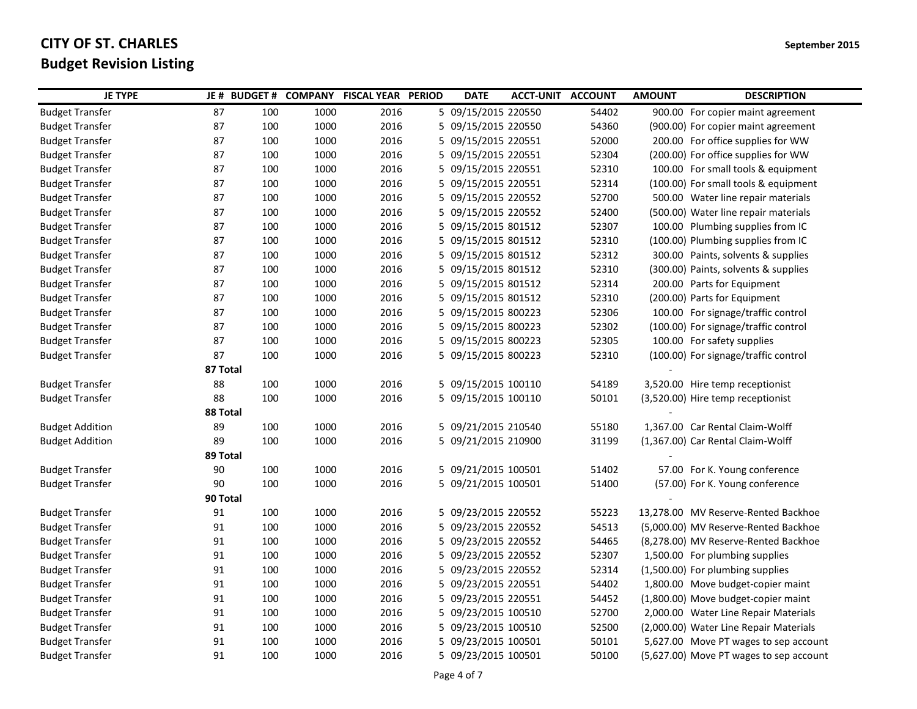| 54402<br><b>Budget Transfer</b><br>87<br>100<br>1000<br>2016<br>5 09/15/2015 220550<br>900.00 For copier maint agreement<br><b>Budget Transfer</b><br>87<br>100<br>1000<br>2016<br>5 09/15/2015 220550<br>54360<br>(900.00) For copier maint agreement<br>52000<br><b>Budget Transfer</b><br>87<br>100<br>1000<br>2016<br>5 09/15/2015 220551<br>200.00 For office supplies for WW<br>1000<br>52304<br>87<br>100<br>2016<br>5 09/15/2015 220551<br>(200.00) For office supplies for WW<br><b>Budget Transfer</b><br>52310<br>87<br>100<br>1000<br>2016<br>5 09/15/2015 220551<br><b>Budget Transfer</b><br>100.00 For small tools & equipment<br>52314<br><b>Budget Transfer</b><br>87<br>100<br>1000<br>2016<br>5 09/15/2015 220551<br>(100.00) For small tools & equipment<br>52700<br>87<br>100<br>1000<br>2016<br>5 09/15/2015 220552<br>500.00 Water line repair materials<br><b>Budget Transfer</b><br>87<br>1000<br>52400<br><b>Budget Transfer</b><br>100<br>2016<br>5 09/15/2015 220552<br>(500.00) Water line repair materials<br>87<br>100<br>1000<br>2016<br>5 09/15/2015 801512<br>52307<br>100.00 Plumbing supplies from IC<br><b>Budget Transfer</b><br>87<br>100<br>1000<br>2016<br>52310<br>(100.00) Plumbing supplies from IC<br><b>Budget Transfer</b><br>5 09/15/2015 801512<br>87<br>100<br>1000<br>2016<br>5 09/15/2015 801512<br>52312<br>300.00 Paints, solvents & supplies<br><b>Budget Transfer</b><br>100<br>1000<br>2016<br>52310<br><b>Budget Transfer</b><br>87<br>5 09/15/2015 801512<br>(300.00) Paints, solvents & supplies<br>52314<br><b>Budget Transfer</b><br>87<br>100<br>1000<br>2016<br>5 09/15/2015 801512<br>200.00 Parts for Equipment<br>87<br>52310<br><b>Budget Transfer</b><br>100<br>1000<br>2016<br>5 09/15/2015 801512<br>(200.00) Parts for Equipment | <b>JE TYPE</b>         | JE # BUDGET # |     | <b>COMPANY</b> | <b>FISCAL YEAR PERIOD</b> | <b>DATE</b> | <b>ACCT-UNIT ACCOUNT</b> |       | <b>AMOUNT</b> | <b>DESCRIPTION</b>                 |
|----------------------------------------------------------------------------------------------------------------------------------------------------------------------------------------------------------------------------------------------------------------------------------------------------------------------------------------------------------------------------------------------------------------------------------------------------------------------------------------------------------------------------------------------------------------------------------------------------------------------------------------------------------------------------------------------------------------------------------------------------------------------------------------------------------------------------------------------------------------------------------------------------------------------------------------------------------------------------------------------------------------------------------------------------------------------------------------------------------------------------------------------------------------------------------------------------------------------------------------------------------------------------------------------------------------------------------------------------------------------------------------------------------------------------------------------------------------------------------------------------------------------------------------------------------------------------------------------------------------------------------------------------------------------------------------------------------------------------------------------------------------------------------------------------------|------------------------|---------------|-----|----------------|---------------------------|-------------|--------------------------|-------|---------------|------------------------------------|
|                                                                                                                                                                                                                                                                                                                                                                                                                                                                                                                                                                                                                                                                                                                                                                                                                                                                                                                                                                                                                                                                                                                                                                                                                                                                                                                                                                                                                                                                                                                                                                                                                                                                                                                                                                                                          |                        |               |     |                |                           |             |                          |       |               |                                    |
|                                                                                                                                                                                                                                                                                                                                                                                                                                                                                                                                                                                                                                                                                                                                                                                                                                                                                                                                                                                                                                                                                                                                                                                                                                                                                                                                                                                                                                                                                                                                                                                                                                                                                                                                                                                                          |                        |               |     |                |                           |             |                          |       |               |                                    |
|                                                                                                                                                                                                                                                                                                                                                                                                                                                                                                                                                                                                                                                                                                                                                                                                                                                                                                                                                                                                                                                                                                                                                                                                                                                                                                                                                                                                                                                                                                                                                                                                                                                                                                                                                                                                          |                        |               |     |                |                           |             |                          |       |               |                                    |
|                                                                                                                                                                                                                                                                                                                                                                                                                                                                                                                                                                                                                                                                                                                                                                                                                                                                                                                                                                                                                                                                                                                                                                                                                                                                                                                                                                                                                                                                                                                                                                                                                                                                                                                                                                                                          |                        |               |     |                |                           |             |                          |       |               |                                    |
|                                                                                                                                                                                                                                                                                                                                                                                                                                                                                                                                                                                                                                                                                                                                                                                                                                                                                                                                                                                                                                                                                                                                                                                                                                                                                                                                                                                                                                                                                                                                                                                                                                                                                                                                                                                                          |                        |               |     |                |                           |             |                          |       |               |                                    |
|                                                                                                                                                                                                                                                                                                                                                                                                                                                                                                                                                                                                                                                                                                                                                                                                                                                                                                                                                                                                                                                                                                                                                                                                                                                                                                                                                                                                                                                                                                                                                                                                                                                                                                                                                                                                          |                        |               |     |                |                           |             |                          |       |               |                                    |
|                                                                                                                                                                                                                                                                                                                                                                                                                                                                                                                                                                                                                                                                                                                                                                                                                                                                                                                                                                                                                                                                                                                                                                                                                                                                                                                                                                                                                                                                                                                                                                                                                                                                                                                                                                                                          |                        |               |     |                |                           |             |                          |       |               |                                    |
|                                                                                                                                                                                                                                                                                                                                                                                                                                                                                                                                                                                                                                                                                                                                                                                                                                                                                                                                                                                                                                                                                                                                                                                                                                                                                                                                                                                                                                                                                                                                                                                                                                                                                                                                                                                                          |                        |               |     |                |                           |             |                          |       |               |                                    |
|                                                                                                                                                                                                                                                                                                                                                                                                                                                                                                                                                                                                                                                                                                                                                                                                                                                                                                                                                                                                                                                                                                                                                                                                                                                                                                                                                                                                                                                                                                                                                                                                                                                                                                                                                                                                          |                        |               |     |                |                           |             |                          |       |               |                                    |
|                                                                                                                                                                                                                                                                                                                                                                                                                                                                                                                                                                                                                                                                                                                                                                                                                                                                                                                                                                                                                                                                                                                                                                                                                                                                                                                                                                                                                                                                                                                                                                                                                                                                                                                                                                                                          |                        |               |     |                |                           |             |                          |       |               |                                    |
|                                                                                                                                                                                                                                                                                                                                                                                                                                                                                                                                                                                                                                                                                                                                                                                                                                                                                                                                                                                                                                                                                                                                                                                                                                                                                                                                                                                                                                                                                                                                                                                                                                                                                                                                                                                                          |                        |               |     |                |                           |             |                          |       |               |                                    |
|                                                                                                                                                                                                                                                                                                                                                                                                                                                                                                                                                                                                                                                                                                                                                                                                                                                                                                                                                                                                                                                                                                                                                                                                                                                                                                                                                                                                                                                                                                                                                                                                                                                                                                                                                                                                          |                        |               |     |                |                           |             |                          |       |               |                                    |
|                                                                                                                                                                                                                                                                                                                                                                                                                                                                                                                                                                                                                                                                                                                                                                                                                                                                                                                                                                                                                                                                                                                                                                                                                                                                                                                                                                                                                                                                                                                                                                                                                                                                                                                                                                                                          |                        |               |     |                |                           |             |                          |       |               |                                    |
|                                                                                                                                                                                                                                                                                                                                                                                                                                                                                                                                                                                                                                                                                                                                                                                                                                                                                                                                                                                                                                                                                                                                                                                                                                                                                                                                                                                                                                                                                                                                                                                                                                                                                                                                                                                                          |                        |               |     |                |                           |             |                          |       |               |                                    |
| 5 09/15/2015 800223                                                                                                                                                                                                                                                                                                                                                                                                                                                                                                                                                                                                                                                                                                                                                                                                                                                                                                                                                                                                                                                                                                                                                                                                                                                                                                                                                                                                                                                                                                                                                                                                                                                                                                                                                                                      | <b>Budget Transfer</b> | 87            | 100 | 1000           | 2016                      |             |                          | 52306 |               | 100.00 For signage/traffic control |
| 87<br>1000<br>2016<br>52302<br>(100.00) For signage/traffic control<br><b>Budget Transfer</b><br>100<br>5 09/15/2015 800223                                                                                                                                                                                                                                                                                                                                                                                                                                                                                                                                                                                                                                                                                                                                                                                                                                                                                                                                                                                                                                                                                                                                                                                                                                                                                                                                                                                                                                                                                                                                                                                                                                                                              |                        |               |     |                |                           |             |                          |       |               |                                    |
| 52305<br>100.00 For safety supplies<br><b>Budget Transfer</b><br>87<br>100<br>1000<br>2016<br>5 09/15/2015 800223                                                                                                                                                                                                                                                                                                                                                                                                                                                                                                                                                                                                                                                                                                                                                                                                                                                                                                                                                                                                                                                                                                                                                                                                                                                                                                                                                                                                                                                                                                                                                                                                                                                                                        |                        |               |     |                |                           |             |                          |       |               |                                    |
| 87<br>100<br>1000<br>2016<br>5 09/15/2015 800223<br>52310<br>(100.00) For signage/traffic control<br><b>Budget Transfer</b>                                                                                                                                                                                                                                                                                                                                                                                                                                                                                                                                                                                                                                                                                                                                                                                                                                                                                                                                                                                                                                                                                                                                                                                                                                                                                                                                                                                                                                                                                                                                                                                                                                                                              |                        |               |     |                |                           |             |                          |       |               |                                    |
| 87 Total                                                                                                                                                                                                                                                                                                                                                                                                                                                                                                                                                                                                                                                                                                                                                                                                                                                                                                                                                                                                                                                                                                                                                                                                                                                                                                                                                                                                                                                                                                                                                                                                                                                                                                                                                                                                 |                        |               |     |                |                           |             |                          |       |               |                                    |
| <b>Budget Transfer</b><br>88<br>100<br>1000<br>2016<br>5 09/15/2015 100110<br>54189<br>3,520.00 Hire temp receptionist                                                                                                                                                                                                                                                                                                                                                                                                                                                                                                                                                                                                                                                                                                                                                                                                                                                                                                                                                                                                                                                                                                                                                                                                                                                                                                                                                                                                                                                                                                                                                                                                                                                                                   |                        |               |     |                |                           |             |                          |       |               |                                    |
| 100<br>1000<br>2016<br>5 09/15/2015 100110<br>50101<br><b>Budget Transfer</b><br>88<br>(3,520.00) Hire temp receptionist                                                                                                                                                                                                                                                                                                                                                                                                                                                                                                                                                                                                                                                                                                                                                                                                                                                                                                                                                                                                                                                                                                                                                                                                                                                                                                                                                                                                                                                                                                                                                                                                                                                                                 |                        |               |     |                |                           |             |                          |       |               |                                    |
| 88 Total                                                                                                                                                                                                                                                                                                                                                                                                                                                                                                                                                                                                                                                                                                                                                                                                                                                                                                                                                                                                                                                                                                                                                                                                                                                                                                                                                                                                                                                                                                                                                                                                                                                                                                                                                                                                 |                        |               |     |                |                           |             |                          |       |               |                                    |
| 89<br>1000<br>5 09/21/2015 210540<br>1,367.00 Car Rental Claim-Wolff<br><b>Budget Addition</b><br>100<br>2016<br>55180                                                                                                                                                                                                                                                                                                                                                                                                                                                                                                                                                                                                                                                                                                                                                                                                                                                                                                                                                                                                                                                                                                                                                                                                                                                                                                                                                                                                                                                                                                                                                                                                                                                                                   |                        |               |     |                |                           |             |                          |       |               |                                    |
| 89<br>100<br>1000<br>2016<br>5 09/21/2015 210900<br>31199<br>(1,367.00) Car Rental Claim-Wolff<br><b>Budget Addition</b>                                                                                                                                                                                                                                                                                                                                                                                                                                                                                                                                                                                                                                                                                                                                                                                                                                                                                                                                                                                                                                                                                                                                                                                                                                                                                                                                                                                                                                                                                                                                                                                                                                                                                 |                        |               |     |                |                           |             |                          |       |               |                                    |
| 89 Total                                                                                                                                                                                                                                                                                                                                                                                                                                                                                                                                                                                                                                                                                                                                                                                                                                                                                                                                                                                                                                                                                                                                                                                                                                                                                                                                                                                                                                                                                                                                                                                                                                                                                                                                                                                                 |                        |               |     |                |                           |             |                          |       |               |                                    |
| <b>Budget Transfer</b><br>90<br>100<br>1000<br>2016<br>5 09/21/2015 100501<br>51402<br>57.00 For K. Young conference                                                                                                                                                                                                                                                                                                                                                                                                                                                                                                                                                                                                                                                                                                                                                                                                                                                                                                                                                                                                                                                                                                                                                                                                                                                                                                                                                                                                                                                                                                                                                                                                                                                                                     |                        |               |     |                |                           |             |                          |       |               |                                    |
| 1000<br>2016<br>5 09/21/2015 100501<br>(57.00) For K. Young conference<br><b>Budget Transfer</b><br>90<br>100<br>51400                                                                                                                                                                                                                                                                                                                                                                                                                                                                                                                                                                                                                                                                                                                                                                                                                                                                                                                                                                                                                                                                                                                                                                                                                                                                                                                                                                                                                                                                                                                                                                                                                                                                                   |                        |               |     |                |                           |             |                          |       |               |                                    |
| 90 Total                                                                                                                                                                                                                                                                                                                                                                                                                                                                                                                                                                                                                                                                                                                                                                                                                                                                                                                                                                                                                                                                                                                                                                                                                                                                                                                                                                                                                                                                                                                                                                                                                                                                                                                                                                                                 |                        |               |     |                |                           |             |                          |       |               |                                    |
| 55223<br>91<br>100<br>1000<br>2016<br>5 09/23/2015 220552<br>13,278.00 MV Reserve-Rented Backhoe<br>Budget Transfer                                                                                                                                                                                                                                                                                                                                                                                                                                                                                                                                                                                                                                                                                                                                                                                                                                                                                                                                                                                                                                                                                                                                                                                                                                                                                                                                                                                                                                                                                                                                                                                                                                                                                      |                        |               |     |                |                           |             |                          |       |               |                                    |
| 1000<br>2016<br>54513<br>91<br>100<br>5 09/23/2015 220552<br>(5,000.00) MV Reserve-Rented Backhoe<br><b>Budget Transfer</b>                                                                                                                                                                                                                                                                                                                                                                                                                                                                                                                                                                                                                                                                                                                                                                                                                                                                                                                                                                                                                                                                                                                                                                                                                                                                                                                                                                                                                                                                                                                                                                                                                                                                              |                        |               |     |                |                           |             |                          |       |               |                                    |
| 54465<br><b>Budget Transfer</b><br>91<br>100<br>1000<br>2016<br>5 09/23/2015 220552<br>(8,278.00) MV Reserve-Rented Backhoe                                                                                                                                                                                                                                                                                                                                                                                                                                                                                                                                                                                                                                                                                                                                                                                                                                                                                                                                                                                                                                                                                                                                                                                                                                                                                                                                                                                                                                                                                                                                                                                                                                                                              |                        |               |     |                |                           |             |                          |       |               |                                    |
| 52307<br><b>Budget Transfer</b><br>91<br>100<br>1000<br>2016<br>5 09/23/2015 220552<br>1,500.00 For plumbing supplies                                                                                                                                                                                                                                                                                                                                                                                                                                                                                                                                                                                                                                                                                                                                                                                                                                                                                                                                                                                                                                                                                                                                                                                                                                                                                                                                                                                                                                                                                                                                                                                                                                                                                    |                        |               |     |                |                           |             |                          |       |               |                                    |
| 100<br>1000<br>2016<br>5 09/23/2015 220552<br>52314<br><b>Budget Transfer</b><br>91<br>(1,500.00) For plumbing supplies                                                                                                                                                                                                                                                                                                                                                                                                                                                                                                                                                                                                                                                                                                                                                                                                                                                                                                                                                                                                                                                                                                                                                                                                                                                                                                                                                                                                                                                                                                                                                                                                                                                                                  |                        |               |     |                |                           |             |                          |       |               |                                    |
| <b>Budget Transfer</b><br>91<br>100<br>1000<br>2016<br>5 09/23/2015 220551<br>54402<br>1,800.00 Move budget-copier maint                                                                                                                                                                                                                                                                                                                                                                                                                                                                                                                                                                                                                                                                                                                                                                                                                                                                                                                                                                                                                                                                                                                                                                                                                                                                                                                                                                                                                                                                                                                                                                                                                                                                                 |                        |               |     |                |                           |             |                          |       |               |                                    |
| 91<br>100<br>1000<br>2016<br>5 09/23/2015 220551<br>54452<br><b>Budget Transfer</b><br>(1,800.00) Move budget-copier maint                                                                                                                                                                                                                                                                                                                                                                                                                                                                                                                                                                                                                                                                                                                                                                                                                                                                                                                                                                                                                                                                                                                                                                                                                                                                                                                                                                                                                                                                                                                                                                                                                                                                               |                        |               |     |                |                           |             |                          |       |               |                                    |
| 52700<br><b>Budget Transfer</b><br>91<br>100<br>1000<br>2016<br>5 09/23/2015 100510<br>2,000.00 Water Line Repair Materials                                                                                                                                                                                                                                                                                                                                                                                                                                                                                                                                                                                                                                                                                                                                                                                                                                                                                                                                                                                                                                                                                                                                                                                                                                                                                                                                                                                                                                                                                                                                                                                                                                                                              |                        |               |     |                |                           |             |                          |       |               |                                    |
| <b>Budget Transfer</b><br>1000<br>2016<br>5 09/23/2015 100510<br>52500<br>91<br>100<br>(2,000.00) Water Line Repair Materials                                                                                                                                                                                                                                                                                                                                                                                                                                                                                                                                                                                                                                                                                                                                                                                                                                                                                                                                                                                                                                                                                                                                                                                                                                                                                                                                                                                                                                                                                                                                                                                                                                                                            |                        |               |     |                |                           |             |                          |       |               |                                    |
| <b>Budget Transfer</b><br>91<br>100<br>1000<br>2016<br>5 09/23/2015 100501<br>50101<br>5,627.00 Move PT wages to sep account                                                                                                                                                                                                                                                                                                                                                                                                                                                                                                                                                                                                                                                                                                                                                                                                                                                                                                                                                                                                                                                                                                                                                                                                                                                                                                                                                                                                                                                                                                                                                                                                                                                                             |                        |               |     |                |                           |             |                          |       |               |                                    |
| <b>Budget Transfer</b><br>91<br>100<br>1000<br>5 09/23/2015 100501<br>50100<br>2016<br>(5,627.00) Move PT wages to sep account                                                                                                                                                                                                                                                                                                                                                                                                                                                                                                                                                                                                                                                                                                                                                                                                                                                                                                                                                                                                                                                                                                                                                                                                                                                                                                                                                                                                                                                                                                                                                                                                                                                                           |                        |               |     |                |                           |             |                          |       |               |                                    |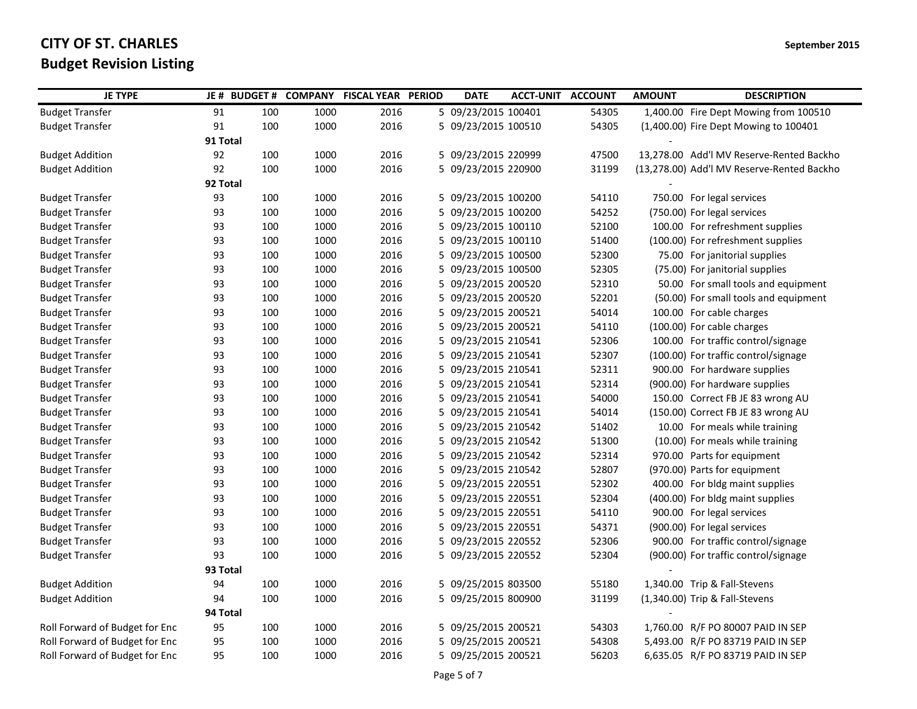| <b>JE TYPE</b>                 | JE # BUDGET # |     |      | <b>COMPANY FISCAL YEAR PERIOD</b> | <b>DATE</b>         | <b>ACCT-UNIT ACCOUNT</b> |       | <b>AMOUNT</b> | <b>DESCRIPTION</b>                         |
|--------------------------------|---------------|-----|------|-----------------------------------|---------------------|--------------------------|-------|---------------|--------------------------------------------|
| <b>Budget Transfer</b>         | 91            | 100 | 1000 | 2016                              | 5 09/23/2015 100401 |                          | 54305 |               | 1,400.00 Fire Dept Mowing from 100510      |
| <b>Budget Transfer</b>         | 91            | 100 | 1000 | 2016                              | 5 09/23/2015 100510 |                          | 54305 |               | (1,400.00) Fire Dept Mowing to 100401      |
|                                | 91 Total      |     |      |                                   |                     |                          |       |               |                                            |
| <b>Budget Addition</b>         | 92            | 100 | 1000 | 2016                              | 5 09/23/2015 220999 |                          | 47500 |               | 13,278.00 Add'l MV Reserve-Rented Backho   |
| <b>Budget Addition</b>         | 92            | 100 | 1000 | 2016                              | 5 09/23/2015 220900 |                          | 31199 |               | (13,278.00) Add'l MV Reserve-Rented Backho |
|                                | 92 Total      |     |      |                                   |                     |                          |       |               |                                            |
| <b>Budget Transfer</b>         | 93            | 100 | 1000 | 2016                              | 5 09/23/2015 100200 |                          | 54110 |               | 750.00 For legal services                  |
| <b>Budget Transfer</b>         | 93            | 100 | 1000 | 2016                              | 5 09/23/2015 100200 |                          | 54252 |               | (750.00) For legal services                |
| <b>Budget Transfer</b>         | 93            | 100 | 1000 | 2016                              | 5 09/23/2015 100110 |                          | 52100 |               | 100.00 For refreshment supplies            |
| <b>Budget Transfer</b>         | 93            | 100 | 1000 | 2016                              | 5 09/23/2015 100110 |                          | 51400 |               | (100.00) For refreshment supplies          |
| <b>Budget Transfer</b>         | 93            | 100 | 1000 | 2016                              | 5 09/23/2015 100500 |                          | 52300 |               | 75.00 For janitorial supplies              |
| <b>Budget Transfer</b>         | 93            | 100 | 1000 | 2016                              | 5 09/23/2015 100500 |                          | 52305 |               | (75.00) For janitorial supplies            |
| <b>Budget Transfer</b>         | 93            | 100 | 1000 | 2016                              | 5 09/23/2015 200520 |                          | 52310 |               | 50.00 For small tools and equipment        |
| <b>Budget Transfer</b>         | 93            | 100 | 1000 | 2016                              | 5 09/23/2015 200520 |                          | 52201 |               | (50.00) For small tools and equipment      |
| <b>Budget Transfer</b>         | 93            | 100 | 1000 | 2016                              | 5 09/23/2015 200521 |                          | 54014 |               | 100.00 For cable charges                   |
| <b>Budget Transfer</b>         | 93            | 100 | 1000 | 2016                              | 5 09/23/2015 200521 |                          | 54110 |               | (100.00) For cable charges                 |
| <b>Budget Transfer</b>         | 93            | 100 | 1000 | 2016                              | 5 09/23/2015 210541 |                          | 52306 |               | 100.00 For traffic control/signage         |
| <b>Budget Transfer</b>         | 93            | 100 | 1000 | 2016                              | 5 09/23/2015 210541 |                          | 52307 |               | (100.00) For traffic control/signage       |
| <b>Budget Transfer</b>         | 93            | 100 | 1000 | 2016                              | 5 09/23/2015 210541 |                          | 52311 |               | 900.00 For hardware supplies               |
| <b>Budget Transfer</b>         | 93            | 100 | 1000 | 2016                              | 5 09/23/2015 210541 |                          | 52314 |               | (900.00) For hardware supplies             |
| <b>Budget Transfer</b>         | 93            | 100 | 1000 | 2016                              | 5 09/23/2015 210541 |                          | 54000 |               | 150.00 Correct FB JE 83 wrong AU           |
| <b>Budget Transfer</b>         | 93            | 100 | 1000 | 2016                              | 5 09/23/2015 210541 |                          | 54014 |               | (150.00) Correct FB JE 83 wrong AU         |
| <b>Budget Transfer</b>         | 93            | 100 | 1000 | 2016                              | 5 09/23/2015 210542 |                          | 51402 |               | 10.00 For meals while training             |
| <b>Budget Transfer</b>         | 93            | 100 | 1000 | 2016                              | 5 09/23/2015 210542 |                          | 51300 |               | (10.00) For meals while training           |
| <b>Budget Transfer</b>         | 93            | 100 | 1000 | 2016                              | 5 09/23/2015 210542 |                          | 52314 |               | 970.00 Parts for equipment                 |
| <b>Budget Transfer</b>         | 93            | 100 | 1000 | 2016                              | 5 09/23/2015 210542 |                          | 52807 |               | (970.00) Parts for equipment               |
| <b>Budget Transfer</b>         | 93            | 100 | 1000 | 2016                              | 5 09/23/2015 220551 |                          | 52302 |               | 400.00 For bldg maint supplies             |
| <b>Budget Transfer</b>         | 93            | 100 | 1000 | 2016                              | 5 09/23/2015 220551 |                          | 52304 |               | (400.00) For bldg maint supplies           |
| <b>Budget Transfer</b>         | 93            | 100 | 1000 | 2016                              | 5 09/23/2015 220551 |                          | 54110 |               | 900.00 For legal services                  |
| <b>Budget Transfer</b>         | 93            | 100 | 1000 | 2016                              | 5 09/23/2015 220551 |                          | 54371 |               | (900.00) For legal services                |
| <b>Budget Transfer</b>         | 93            | 100 | 1000 | 2016                              | 5 09/23/2015 220552 |                          | 52306 |               | 900.00 For traffic control/signage         |
| <b>Budget Transfer</b>         | 93            | 100 | 1000 | 2016                              | 5 09/23/2015 220552 |                          | 52304 |               | (900.00) For traffic control/signage       |
|                                | 93 Total      |     |      |                                   |                     |                          |       |               |                                            |
| <b>Budget Addition</b>         | 94            | 100 | 1000 | 2016                              | 5 09/25/2015 803500 |                          | 55180 |               | 1,340.00 Trip & Fall-Stevens               |
| <b>Budget Addition</b>         | 94            | 100 | 1000 | 2016                              | 5 09/25/2015 800900 |                          | 31199 |               | (1,340.00) Trip & Fall-Stevens             |
|                                | 94 Total      |     |      |                                   |                     |                          |       |               |                                            |
| Roll Forward of Budget for Enc | 95            | 100 | 1000 | 2016                              | 5 09/25/2015 200521 |                          | 54303 |               | 1,760.00 R/F PO 80007 PAID IN SEP          |
| Roll Forward of Budget for Enc | 95            | 100 | 1000 | 2016                              | 5 09/25/2015 200521 |                          | 54308 |               | 5,493.00 R/F PO 83719 PAID IN SEP          |
| Roll Forward of Budget for Enc | 95            | 100 | 1000 | 2016                              | 5 09/25/2015 200521 |                          | 56203 |               | 6,635.05 R/F PO 83719 PAID IN SEP          |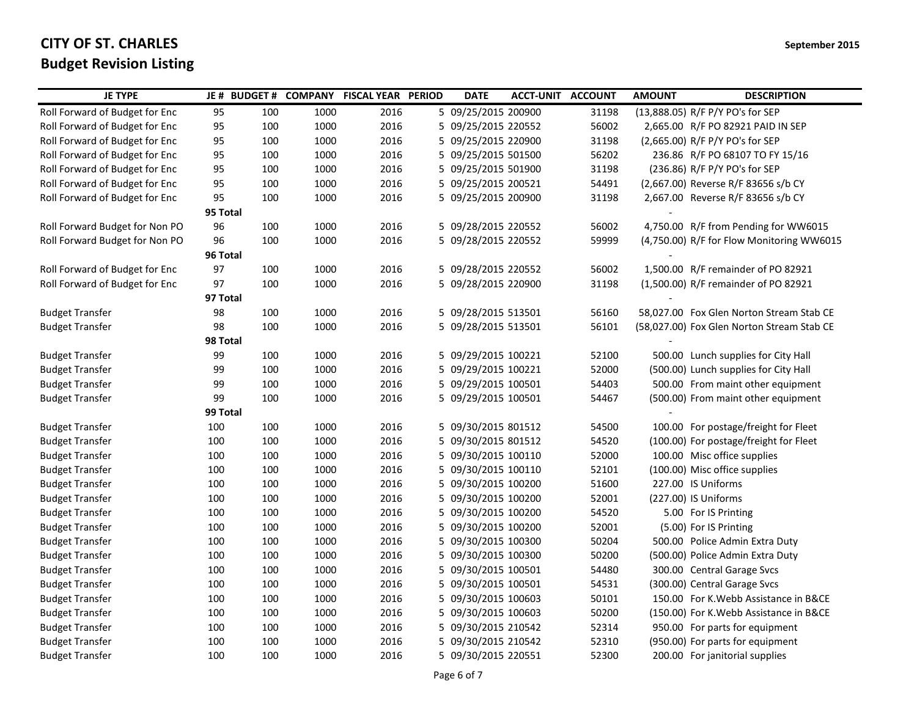| 5 09/25/2015 200900<br>Roll Forward of Budget for Enc<br>95<br>100<br>1000<br>2016<br>31198<br>(13,888.05) R/F P/Y PO's for SEP<br>Roll Forward of Budget for Enc<br>95<br>100<br>1000<br>2016<br>5 09/25/2015 220552<br>56002<br>2,665.00 R/F PO 82921 PAID IN SEP<br>1000<br>2016<br>31198<br>Roll Forward of Budget for Enc<br>95<br>100<br>5 09/25/2015 220900<br>(2,665.00) R/F P/Y PO's for SEP<br>Roll Forward of Budget for Enc<br>100<br>1000<br>2016<br>5 09/25/2015 501500<br>56202<br>95<br>236.86 R/F PO 68107 TO FY 15/16<br>1000<br>2016<br>5 09/25/2015 501900<br>31198<br>(236.86) R/F P/Y PO's for SEP<br>Roll Forward of Budget for Enc<br>95<br>100<br>Roll Forward of Budget for Enc<br>95<br>100<br>1000<br>2016<br>5 09/25/2015 200521<br>54491<br>(2,667.00) Reverse R/F 83656 s/b CY<br>95<br>5 09/25/2015 200900<br>Roll Forward of Budget for Enc<br>100<br>1000<br>2016<br>31198<br>2,667.00 Reverse R/F 83656 s/b CY<br>95 Total<br>Roll Forward Budget for Non PO<br>100<br>5 09/28/2015 220552<br>56002<br>4,750.00 R/F from Pending for WW6015<br>96<br>1000<br>2016<br>Roll Forward Budget for Non PO<br>96<br>100<br>1000<br>2016<br>5 09/28/2015 220552<br>59999<br>(4,750.00) R/F for Flow Monitoring WW6015<br>96 Total<br>Roll Forward of Budget for Enc<br>97<br>2016<br>5 09/28/2015 220552<br>56002<br>1,500.00 R/F remainder of PO 82921<br>100<br>1000<br>Roll Forward of Budget for Enc<br>97<br>100<br>1000<br>2016<br>5 09/28/2015 220900<br>31198<br>(1,500.00) R/F remainder of PO 82921<br>97 Total<br>5 09/28/2015 513501<br><b>Budget Transfer</b><br>98<br>100<br>1000<br>2016<br>56160<br>58,027.00 Fox Glen Norton Stream Stab CE<br>98<br>100<br>1000<br>2016<br>5 09/28/2015 513501<br>56101<br><b>Budget Transfer</b><br>(58,027.00) Fox Glen Norton Stream Stab CE<br>98 Total<br>5 09/29/2015 100221<br>99<br>100<br>1000<br>2016<br>52100<br>500.00 Lunch supplies for City Hall<br><b>Budget Transfer</b><br>5 09/29/2015 100221<br>52000<br><b>Budget Transfer</b><br>99<br>100<br>1000<br>2016<br>(500.00) Lunch supplies for City Hall<br>100<br>1000<br>2016<br>5 09/29/2015 100501<br>54403<br><b>Budget Transfer</b><br>99<br>500.00 From maint other equipment<br><b>Budget Transfer</b><br>99<br>100<br>1000<br>2016<br>5 09/29/2015 100501<br>54467<br>(500.00) From maint other equipment<br>99 Total<br>100<br>1000<br>2016<br>5 09/30/2015 801512<br>54500<br>100.00 For postage/freight for Fleet<br><b>Budget Transfer</b><br>100<br>100<br>1000<br>2016<br>5 09/30/2015 801512<br>54520<br>(100.00) For postage/freight for Fleet<br><b>Budget Transfer</b><br>100<br>5 09/30/2015 100110<br>52000<br>100.00 Misc office supplies<br><b>Budget Transfer</b><br>100<br>1000<br>2016<br>100<br>100<br>2016<br>5 09/30/2015 100110<br>52101<br>(100.00) Misc office supplies<br><b>Budget Transfer</b><br>100<br>1000<br>5 09/30/2015 100200<br>51600<br><b>Budget Transfer</b><br>100<br>100<br>1000<br>2016<br>227.00 IS Uniforms<br>100<br>1000<br>2016<br>5 09/30/2015 100200<br>52001<br>(227.00) IS Uniforms<br><b>Budget Transfer</b><br>100<br>54520<br>100<br>1000<br>2016<br>5 09/30/2015 100200<br>5.00 For IS Printing<br><b>Budget Transfer</b><br>100<br>100<br>1000<br>2016<br>5 09/30/2015 100200<br>52001<br>(5.00) For IS Printing<br><b>Budget Transfer</b><br>100<br>100<br>1000<br>2016<br>5 09/30/2015 100300<br>50204<br><b>Budget Transfer</b><br>100<br>500.00 Police Admin Extra Duty<br>100<br>1000<br>2016<br>5 09/30/2015 100300<br>50200<br><b>Budget Transfer</b><br>100<br>(500.00) Police Admin Extra Duty<br>5 09/30/2015 100501<br>54480<br>300.00 Central Garage Svcs<br><b>Budget Transfer</b><br>100<br>100<br>1000<br>2016<br>100<br>1000<br>2016<br>5 09/30/2015 100501<br>54531<br>(300.00) Central Garage Svcs<br><b>Budget Transfer</b><br>100<br><b>Budget Transfer</b><br>100<br>100<br>1000<br>2016<br>5 09/30/2015 100603<br>50101<br>150.00 For K. Webb Assistance in B&CE<br>100<br>1000<br>2016<br>5 09/30/2015 100603<br>50200<br>(150.00) For K. Webb Assistance in B&CE<br><b>Budget Transfer</b><br>100<br>5 09/30/2015 210542<br>52314<br><b>Budget Transfer</b><br>100<br>1000<br>2016<br>950.00 For parts for equipment<br>100<br><b>Budget Transfer</b><br>100<br>100<br>1000<br>2016<br>5 09/30/2015 210542<br>52310<br>(950.00) For parts for equipment<br>100<br>1000<br>2016<br>5 09/30/2015 220551<br>52300<br>200.00 For janitorial supplies<br><b>Budget Transfer</b><br>100 | <b>JE TYPE</b> |  | JE# BUDGET# COMPANY FISCAL YEAR PERIOD | <b>DATE</b> | <b>ACCT-UNIT ACCOUNT</b> | <b>AMOUNT</b> | <b>DESCRIPTION</b> |
|------------------------------------------------------------------------------------------------------------------------------------------------------------------------------------------------------------------------------------------------------------------------------------------------------------------------------------------------------------------------------------------------------------------------------------------------------------------------------------------------------------------------------------------------------------------------------------------------------------------------------------------------------------------------------------------------------------------------------------------------------------------------------------------------------------------------------------------------------------------------------------------------------------------------------------------------------------------------------------------------------------------------------------------------------------------------------------------------------------------------------------------------------------------------------------------------------------------------------------------------------------------------------------------------------------------------------------------------------------------------------------------------------------------------------------------------------------------------------------------------------------------------------------------------------------------------------------------------------------------------------------------------------------------------------------------------------------------------------------------------------------------------------------------------------------------------------------------------------------------------------------------------------------------------------------------------------------------------------------------------------------------------------------------------------------------------------------------------------------------------------------------------------------------------------------------------------------------------------------------------------------------------------------------------------------------------------------------------------------------------------------------------------------------------------------------------------------------------------------------------------------------------------------------------------------------------------------------------------------------------------------------------------------------------------------------------------------------------------------------------------------------------------------------------------------------------------------------------------------------------------------------------------------------------------------------------------------------------------------------------------------------------------------------------------------------------------------------------------------------------------------------------------------------------------------------------------------------------------------------------------------------------------------------------------------------------------------------------------------------------------------------------------------------------------------------------------------------------------------------------------------------------------------------------------------------------------------------------------------------------------------------------------------------------------------------------------------------------------------------------------------------------------------------------------------------------------------------------------------------------------------------------------------------------------------------------------------------------------------------------------------------------------------------------------------------------------------------------------------------------------------------------------------------------------------------------------------------------------------------------------------------------------------------------------------------------------------------------------------------------------------------------------------------------------------------------------------------------------------------------------------------------|----------------|--|----------------------------------------|-------------|--------------------------|---------------|--------------------|
|                                                                                                                                                                                                                                                                                                                                                                                                                                                                                                                                                                                                                                                                                                                                                                                                                                                                                                                                                                                                                                                                                                                                                                                                                                                                                                                                                                                                                                                                                                                                                                                                                                                                                                                                                                                                                                                                                                                                                                                                                                                                                                                                                                                                                                                                                                                                                                                                                                                                                                                                                                                                                                                                                                                                                                                                                                                                                                                                                                                                                                                                                                                                                                                                                                                                                                                                                                                                                                                                                                                                                                                                                                                                                                                                                                                                                                                                                                                                                                                                                                                                                                                                                                                                                                                                                                                                                                                                                                                                                                                        |                |  |                                        |             |                          |               |                    |
|                                                                                                                                                                                                                                                                                                                                                                                                                                                                                                                                                                                                                                                                                                                                                                                                                                                                                                                                                                                                                                                                                                                                                                                                                                                                                                                                                                                                                                                                                                                                                                                                                                                                                                                                                                                                                                                                                                                                                                                                                                                                                                                                                                                                                                                                                                                                                                                                                                                                                                                                                                                                                                                                                                                                                                                                                                                                                                                                                                                                                                                                                                                                                                                                                                                                                                                                                                                                                                                                                                                                                                                                                                                                                                                                                                                                                                                                                                                                                                                                                                                                                                                                                                                                                                                                                                                                                                                                                                                                                                                        |                |  |                                        |             |                          |               |                    |
|                                                                                                                                                                                                                                                                                                                                                                                                                                                                                                                                                                                                                                                                                                                                                                                                                                                                                                                                                                                                                                                                                                                                                                                                                                                                                                                                                                                                                                                                                                                                                                                                                                                                                                                                                                                                                                                                                                                                                                                                                                                                                                                                                                                                                                                                                                                                                                                                                                                                                                                                                                                                                                                                                                                                                                                                                                                                                                                                                                                                                                                                                                                                                                                                                                                                                                                                                                                                                                                                                                                                                                                                                                                                                                                                                                                                                                                                                                                                                                                                                                                                                                                                                                                                                                                                                                                                                                                                                                                                                                                        |                |  |                                        |             |                          |               |                    |
|                                                                                                                                                                                                                                                                                                                                                                                                                                                                                                                                                                                                                                                                                                                                                                                                                                                                                                                                                                                                                                                                                                                                                                                                                                                                                                                                                                                                                                                                                                                                                                                                                                                                                                                                                                                                                                                                                                                                                                                                                                                                                                                                                                                                                                                                                                                                                                                                                                                                                                                                                                                                                                                                                                                                                                                                                                                                                                                                                                                                                                                                                                                                                                                                                                                                                                                                                                                                                                                                                                                                                                                                                                                                                                                                                                                                                                                                                                                                                                                                                                                                                                                                                                                                                                                                                                                                                                                                                                                                                                                        |                |  |                                        |             |                          |               |                    |
|                                                                                                                                                                                                                                                                                                                                                                                                                                                                                                                                                                                                                                                                                                                                                                                                                                                                                                                                                                                                                                                                                                                                                                                                                                                                                                                                                                                                                                                                                                                                                                                                                                                                                                                                                                                                                                                                                                                                                                                                                                                                                                                                                                                                                                                                                                                                                                                                                                                                                                                                                                                                                                                                                                                                                                                                                                                                                                                                                                                                                                                                                                                                                                                                                                                                                                                                                                                                                                                                                                                                                                                                                                                                                                                                                                                                                                                                                                                                                                                                                                                                                                                                                                                                                                                                                                                                                                                                                                                                                                                        |                |  |                                        |             |                          |               |                    |
|                                                                                                                                                                                                                                                                                                                                                                                                                                                                                                                                                                                                                                                                                                                                                                                                                                                                                                                                                                                                                                                                                                                                                                                                                                                                                                                                                                                                                                                                                                                                                                                                                                                                                                                                                                                                                                                                                                                                                                                                                                                                                                                                                                                                                                                                                                                                                                                                                                                                                                                                                                                                                                                                                                                                                                                                                                                                                                                                                                                                                                                                                                                                                                                                                                                                                                                                                                                                                                                                                                                                                                                                                                                                                                                                                                                                                                                                                                                                                                                                                                                                                                                                                                                                                                                                                                                                                                                                                                                                                                                        |                |  |                                        |             |                          |               |                    |
|                                                                                                                                                                                                                                                                                                                                                                                                                                                                                                                                                                                                                                                                                                                                                                                                                                                                                                                                                                                                                                                                                                                                                                                                                                                                                                                                                                                                                                                                                                                                                                                                                                                                                                                                                                                                                                                                                                                                                                                                                                                                                                                                                                                                                                                                                                                                                                                                                                                                                                                                                                                                                                                                                                                                                                                                                                                                                                                                                                                                                                                                                                                                                                                                                                                                                                                                                                                                                                                                                                                                                                                                                                                                                                                                                                                                                                                                                                                                                                                                                                                                                                                                                                                                                                                                                                                                                                                                                                                                                                                        |                |  |                                        |             |                          |               |                    |
|                                                                                                                                                                                                                                                                                                                                                                                                                                                                                                                                                                                                                                                                                                                                                                                                                                                                                                                                                                                                                                                                                                                                                                                                                                                                                                                                                                                                                                                                                                                                                                                                                                                                                                                                                                                                                                                                                                                                                                                                                                                                                                                                                                                                                                                                                                                                                                                                                                                                                                                                                                                                                                                                                                                                                                                                                                                                                                                                                                                                                                                                                                                                                                                                                                                                                                                                                                                                                                                                                                                                                                                                                                                                                                                                                                                                                                                                                                                                                                                                                                                                                                                                                                                                                                                                                                                                                                                                                                                                                                                        |                |  |                                        |             |                          |               |                    |
|                                                                                                                                                                                                                                                                                                                                                                                                                                                                                                                                                                                                                                                                                                                                                                                                                                                                                                                                                                                                                                                                                                                                                                                                                                                                                                                                                                                                                                                                                                                                                                                                                                                                                                                                                                                                                                                                                                                                                                                                                                                                                                                                                                                                                                                                                                                                                                                                                                                                                                                                                                                                                                                                                                                                                                                                                                                                                                                                                                                                                                                                                                                                                                                                                                                                                                                                                                                                                                                                                                                                                                                                                                                                                                                                                                                                                                                                                                                                                                                                                                                                                                                                                                                                                                                                                                                                                                                                                                                                                                                        |                |  |                                        |             |                          |               |                    |
|                                                                                                                                                                                                                                                                                                                                                                                                                                                                                                                                                                                                                                                                                                                                                                                                                                                                                                                                                                                                                                                                                                                                                                                                                                                                                                                                                                                                                                                                                                                                                                                                                                                                                                                                                                                                                                                                                                                                                                                                                                                                                                                                                                                                                                                                                                                                                                                                                                                                                                                                                                                                                                                                                                                                                                                                                                                                                                                                                                                                                                                                                                                                                                                                                                                                                                                                                                                                                                                                                                                                                                                                                                                                                                                                                                                                                                                                                                                                                                                                                                                                                                                                                                                                                                                                                                                                                                                                                                                                                                                        |                |  |                                        |             |                          |               |                    |
|                                                                                                                                                                                                                                                                                                                                                                                                                                                                                                                                                                                                                                                                                                                                                                                                                                                                                                                                                                                                                                                                                                                                                                                                                                                                                                                                                                                                                                                                                                                                                                                                                                                                                                                                                                                                                                                                                                                                                                                                                                                                                                                                                                                                                                                                                                                                                                                                                                                                                                                                                                                                                                                                                                                                                                                                                                                                                                                                                                                                                                                                                                                                                                                                                                                                                                                                                                                                                                                                                                                                                                                                                                                                                                                                                                                                                                                                                                                                                                                                                                                                                                                                                                                                                                                                                                                                                                                                                                                                                                                        |                |  |                                        |             |                          |               |                    |
|                                                                                                                                                                                                                                                                                                                                                                                                                                                                                                                                                                                                                                                                                                                                                                                                                                                                                                                                                                                                                                                                                                                                                                                                                                                                                                                                                                                                                                                                                                                                                                                                                                                                                                                                                                                                                                                                                                                                                                                                                                                                                                                                                                                                                                                                                                                                                                                                                                                                                                                                                                                                                                                                                                                                                                                                                                                                                                                                                                                                                                                                                                                                                                                                                                                                                                                                                                                                                                                                                                                                                                                                                                                                                                                                                                                                                                                                                                                                                                                                                                                                                                                                                                                                                                                                                                                                                                                                                                                                                                                        |                |  |                                        |             |                          |               |                    |
|                                                                                                                                                                                                                                                                                                                                                                                                                                                                                                                                                                                                                                                                                                                                                                                                                                                                                                                                                                                                                                                                                                                                                                                                                                                                                                                                                                                                                                                                                                                                                                                                                                                                                                                                                                                                                                                                                                                                                                                                                                                                                                                                                                                                                                                                                                                                                                                                                                                                                                                                                                                                                                                                                                                                                                                                                                                                                                                                                                                                                                                                                                                                                                                                                                                                                                                                                                                                                                                                                                                                                                                                                                                                                                                                                                                                                                                                                                                                                                                                                                                                                                                                                                                                                                                                                                                                                                                                                                                                                                                        |                |  |                                        |             |                          |               |                    |
|                                                                                                                                                                                                                                                                                                                                                                                                                                                                                                                                                                                                                                                                                                                                                                                                                                                                                                                                                                                                                                                                                                                                                                                                                                                                                                                                                                                                                                                                                                                                                                                                                                                                                                                                                                                                                                                                                                                                                                                                                                                                                                                                                                                                                                                                                                                                                                                                                                                                                                                                                                                                                                                                                                                                                                                                                                                                                                                                                                                                                                                                                                                                                                                                                                                                                                                                                                                                                                                                                                                                                                                                                                                                                                                                                                                                                                                                                                                                                                                                                                                                                                                                                                                                                                                                                                                                                                                                                                                                                                                        |                |  |                                        |             |                          |               |                    |
|                                                                                                                                                                                                                                                                                                                                                                                                                                                                                                                                                                                                                                                                                                                                                                                                                                                                                                                                                                                                                                                                                                                                                                                                                                                                                                                                                                                                                                                                                                                                                                                                                                                                                                                                                                                                                                                                                                                                                                                                                                                                                                                                                                                                                                                                                                                                                                                                                                                                                                                                                                                                                                                                                                                                                                                                                                                                                                                                                                                                                                                                                                                                                                                                                                                                                                                                                                                                                                                                                                                                                                                                                                                                                                                                                                                                                                                                                                                                                                                                                                                                                                                                                                                                                                                                                                                                                                                                                                                                                                                        |                |  |                                        |             |                          |               |                    |
|                                                                                                                                                                                                                                                                                                                                                                                                                                                                                                                                                                                                                                                                                                                                                                                                                                                                                                                                                                                                                                                                                                                                                                                                                                                                                                                                                                                                                                                                                                                                                                                                                                                                                                                                                                                                                                                                                                                                                                                                                                                                                                                                                                                                                                                                                                                                                                                                                                                                                                                                                                                                                                                                                                                                                                                                                                                                                                                                                                                                                                                                                                                                                                                                                                                                                                                                                                                                                                                                                                                                                                                                                                                                                                                                                                                                                                                                                                                                                                                                                                                                                                                                                                                                                                                                                                                                                                                                                                                                                                                        |                |  |                                        |             |                          |               |                    |
|                                                                                                                                                                                                                                                                                                                                                                                                                                                                                                                                                                                                                                                                                                                                                                                                                                                                                                                                                                                                                                                                                                                                                                                                                                                                                                                                                                                                                                                                                                                                                                                                                                                                                                                                                                                                                                                                                                                                                                                                                                                                                                                                                                                                                                                                                                                                                                                                                                                                                                                                                                                                                                                                                                                                                                                                                                                                                                                                                                                                                                                                                                                                                                                                                                                                                                                                                                                                                                                                                                                                                                                                                                                                                                                                                                                                                                                                                                                                                                                                                                                                                                                                                                                                                                                                                                                                                                                                                                                                                                                        |                |  |                                        |             |                          |               |                    |
|                                                                                                                                                                                                                                                                                                                                                                                                                                                                                                                                                                                                                                                                                                                                                                                                                                                                                                                                                                                                                                                                                                                                                                                                                                                                                                                                                                                                                                                                                                                                                                                                                                                                                                                                                                                                                                                                                                                                                                                                                                                                                                                                                                                                                                                                                                                                                                                                                                                                                                                                                                                                                                                                                                                                                                                                                                                                                                                                                                                                                                                                                                                                                                                                                                                                                                                                                                                                                                                                                                                                                                                                                                                                                                                                                                                                                                                                                                                                                                                                                                                                                                                                                                                                                                                                                                                                                                                                                                                                                                                        |                |  |                                        |             |                          |               |                    |
|                                                                                                                                                                                                                                                                                                                                                                                                                                                                                                                                                                                                                                                                                                                                                                                                                                                                                                                                                                                                                                                                                                                                                                                                                                                                                                                                                                                                                                                                                                                                                                                                                                                                                                                                                                                                                                                                                                                                                                                                                                                                                                                                                                                                                                                                                                                                                                                                                                                                                                                                                                                                                                                                                                                                                                                                                                                                                                                                                                                                                                                                                                                                                                                                                                                                                                                                                                                                                                                                                                                                                                                                                                                                                                                                                                                                                                                                                                                                                                                                                                                                                                                                                                                                                                                                                                                                                                                                                                                                                                                        |                |  |                                        |             |                          |               |                    |
|                                                                                                                                                                                                                                                                                                                                                                                                                                                                                                                                                                                                                                                                                                                                                                                                                                                                                                                                                                                                                                                                                                                                                                                                                                                                                                                                                                                                                                                                                                                                                                                                                                                                                                                                                                                                                                                                                                                                                                                                                                                                                                                                                                                                                                                                                                                                                                                                                                                                                                                                                                                                                                                                                                                                                                                                                                                                                                                                                                                                                                                                                                                                                                                                                                                                                                                                                                                                                                                                                                                                                                                                                                                                                                                                                                                                                                                                                                                                                                                                                                                                                                                                                                                                                                                                                                                                                                                                                                                                                                                        |                |  |                                        |             |                          |               |                    |
|                                                                                                                                                                                                                                                                                                                                                                                                                                                                                                                                                                                                                                                                                                                                                                                                                                                                                                                                                                                                                                                                                                                                                                                                                                                                                                                                                                                                                                                                                                                                                                                                                                                                                                                                                                                                                                                                                                                                                                                                                                                                                                                                                                                                                                                                                                                                                                                                                                                                                                                                                                                                                                                                                                                                                                                                                                                                                                                                                                                                                                                                                                                                                                                                                                                                                                                                                                                                                                                                                                                                                                                                                                                                                                                                                                                                                                                                                                                                                                                                                                                                                                                                                                                                                                                                                                                                                                                                                                                                                                                        |                |  |                                        |             |                          |               |                    |
|                                                                                                                                                                                                                                                                                                                                                                                                                                                                                                                                                                                                                                                                                                                                                                                                                                                                                                                                                                                                                                                                                                                                                                                                                                                                                                                                                                                                                                                                                                                                                                                                                                                                                                                                                                                                                                                                                                                                                                                                                                                                                                                                                                                                                                                                                                                                                                                                                                                                                                                                                                                                                                                                                                                                                                                                                                                                                                                                                                                                                                                                                                                                                                                                                                                                                                                                                                                                                                                                                                                                                                                                                                                                                                                                                                                                                                                                                                                                                                                                                                                                                                                                                                                                                                                                                                                                                                                                                                                                                                                        |                |  |                                        |             |                          |               |                    |
|                                                                                                                                                                                                                                                                                                                                                                                                                                                                                                                                                                                                                                                                                                                                                                                                                                                                                                                                                                                                                                                                                                                                                                                                                                                                                                                                                                                                                                                                                                                                                                                                                                                                                                                                                                                                                                                                                                                                                                                                                                                                                                                                                                                                                                                                                                                                                                                                                                                                                                                                                                                                                                                                                                                                                                                                                                                                                                                                                                                                                                                                                                                                                                                                                                                                                                                                                                                                                                                                                                                                                                                                                                                                                                                                                                                                                                                                                                                                                                                                                                                                                                                                                                                                                                                                                                                                                                                                                                                                                                                        |                |  |                                        |             |                          |               |                    |
|                                                                                                                                                                                                                                                                                                                                                                                                                                                                                                                                                                                                                                                                                                                                                                                                                                                                                                                                                                                                                                                                                                                                                                                                                                                                                                                                                                                                                                                                                                                                                                                                                                                                                                                                                                                                                                                                                                                                                                                                                                                                                                                                                                                                                                                                                                                                                                                                                                                                                                                                                                                                                                                                                                                                                                                                                                                                                                                                                                                                                                                                                                                                                                                                                                                                                                                                                                                                                                                                                                                                                                                                                                                                                                                                                                                                                                                                                                                                                                                                                                                                                                                                                                                                                                                                                                                                                                                                                                                                                                                        |                |  |                                        |             |                          |               |                    |
|                                                                                                                                                                                                                                                                                                                                                                                                                                                                                                                                                                                                                                                                                                                                                                                                                                                                                                                                                                                                                                                                                                                                                                                                                                                                                                                                                                                                                                                                                                                                                                                                                                                                                                                                                                                                                                                                                                                                                                                                                                                                                                                                                                                                                                                                                                                                                                                                                                                                                                                                                                                                                                                                                                                                                                                                                                                                                                                                                                                                                                                                                                                                                                                                                                                                                                                                                                                                                                                                                                                                                                                                                                                                                                                                                                                                                                                                                                                                                                                                                                                                                                                                                                                                                                                                                                                                                                                                                                                                                                                        |                |  |                                        |             |                          |               |                    |
|                                                                                                                                                                                                                                                                                                                                                                                                                                                                                                                                                                                                                                                                                                                                                                                                                                                                                                                                                                                                                                                                                                                                                                                                                                                                                                                                                                                                                                                                                                                                                                                                                                                                                                                                                                                                                                                                                                                                                                                                                                                                                                                                                                                                                                                                                                                                                                                                                                                                                                                                                                                                                                                                                                                                                                                                                                                                                                                                                                                                                                                                                                                                                                                                                                                                                                                                                                                                                                                                                                                                                                                                                                                                                                                                                                                                                                                                                                                                                                                                                                                                                                                                                                                                                                                                                                                                                                                                                                                                                                                        |                |  |                                        |             |                          |               |                    |
|                                                                                                                                                                                                                                                                                                                                                                                                                                                                                                                                                                                                                                                                                                                                                                                                                                                                                                                                                                                                                                                                                                                                                                                                                                                                                                                                                                                                                                                                                                                                                                                                                                                                                                                                                                                                                                                                                                                                                                                                                                                                                                                                                                                                                                                                                                                                                                                                                                                                                                                                                                                                                                                                                                                                                                                                                                                                                                                                                                                                                                                                                                                                                                                                                                                                                                                                                                                                                                                                                                                                                                                                                                                                                                                                                                                                                                                                                                                                                                                                                                                                                                                                                                                                                                                                                                                                                                                                                                                                                                                        |                |  |                                        |             |                          |               |                    |
|                                                                                                                                                                                                                                                                                                                                                                                                                                                                                                                                                                                                                                                                                                                                                                                                                                                                                                                                                                                                                                                                                                                                                                                                                                                                                                                                                                                                                                                                                                                                                                                                                                                                                                                                                                                                                                                                                                                                                                                                                                                                                                                                                                                                                                                                                                                                                                                                                                                                                                                                                                                                                                                                                                                                                                                                                                                                                                                                                                                                                                                                                                                                                                                                                                                                                                                                                                                                                                                                                                                                                                                                                                                                                                                                                                                                                                                                                                                                                                                                                                                                                                                                                                                                                                                                                                                                                                                                                                                                                                                        |                |  |                                        |             |                          |               |                    |
|                                                                                                                                                                                                                                                                                                                                                                                                                                                                                                                                                                                                                                                                                                                                                                                                                                                                                                                                                                                                                                                                                                                                                                                                                                                                                                                                                                                                                                                                                                                                                                                                                                                                                                                                                                                                                                                                                                                                                                                                                                                                                                                                                                                                                                                                                                                                                                                                                                                                                                                                                                                                                                                                                                                                                                                                                                                                                                                                                                                                                                                                                                                                                                                                                                                                                                                                                                                                                                                                                                                                                                                                                                                                                                                                                                                                                                                                                                                                                                                                                                                                                                                                                                                                                                                                                                                                                                                                                                                                                                                        |                |  |                                        |             |                          |               |                    |
|                                                                                                                                                                                                                                                                                                                                                                                                                                                                                                                                                                                                                                                                                                                                                                                                                                                                                                                                                                                                                                                                                                                                                                                                                                                                                                                                                                                                                                                                                                                                                                                                                                                                                                                                                                                                                                                                                                                                                                                                                                                                                                                                                                                                                                                                                                                                                                                                                                                                                                                                                                                                                                                                                                                                                                                                                                                                                                                                                                                                                                                                                                                                                                                                                                                                                                                                                                                                                                                                                                                                                                                                                                                                                                                                                                                                                                                                                                                                                                                                                                                                                                                                                                                                                                                                                                                                                                                                                                                                                                                        |                |  |                                        |             |                          |               |                    |
|                                                                                                                                                                                                                                                                                                                                                                                                                                                                                                                                                                                                                                                                                                                                                                                                                                                                                                                                                                                                                                                                                                                                                                                                                                                                                                                                                                                                                                                                                                                                                                                                                                                                                                                                                                                                                                                                                                                                                                                                                                                                                                                                                                                                                                                                                                                                                                                                                                                                                                                                                                                                                                                                                                                                                                                                                                                                                                                                                                                                                                                                                                                                                                                                                                                                                                                                                                                                                                                                                                                                                                                                                                                                                                                                                                                                                                                                                                                                                                                                                                                                                                                                                                                                                                                                                                                                                                                                                                                                                                                        |                |  |                                        |             |                          |               |                    |
|                                                                                                                                                                                                                                                                                                                                                                                                                                                                                                                                                                                                                                                                                                                                                                                                                                                                                                                                                                                                                                                                                                                                                                                                                                                                                                                                                                                                                                                                                                                                                                                                                                                                                                                                                                                                                                                                                                                                                                                                                                                                                                                                                                                                                                                                                                                                                                                                                                                                                                                                                                                                                                                                                                                                                                                                                                                                                                                                                                                                                                                                                                                                                                                                                                                                                                                                                                                                                                                                                                                                                                                                                                                                                                                                                                                                                                                                                                                                                                                                                                                                                                                                                                                                                                                                                                                                                                                                                                                                                                                        |                |  |                                        |             |                          |               |                    |
|                                                                                                                                                                                                                                                                                                                                                                                                                                                                                                                                                                                                                                                                                                                                                                                                                                                                                                                                                                                                                                                                                                                                                                                                                                                                                                                                                                                                                                                                                                                                                                                                                                                                                                                                                                                                                                                                                                                                                                                                                                                                                                                                                                                                                                                                                                                                                                                                                                                                                                                                                                                                                                                                                                                                                                                                                                                                                                                                                                                                                                                                                                                                                                                                                                                                                                                                                                                                                                                                                                                                                                                                                                                                                                                                                                                                                                                                                                                                                                                                                                                                                                                                                                                                                                                                                                                                                                                                                                                                                                                        |                |  |                                        |             |                          |               |                    |
|                                                                                                                                                                                                                                                                                                                                                                                                                                                                                                                                                                                                                                                                                                                                                                                                                                                                                                                                                                                                                                                                                                                                                                                                                                                                                                                                                                                                                                                                                                                                                                                                                                                                                                                                                                                                                                                                                                                                                                                                                                                                                                                                                                                                                                                                                                                                                                                                                                                                                                                                                                                                                                                                                                                                                                                                                                                                                                                                                                                                                                                                                                                                                                                                                                                                                                                                                                                                                                                                                                                                                                                                                                                                                                                                                                                                                                                                                                                                                                                                                                                                                                                                                                                                                                                                                                                                                                                                                                                                                                                        |                |  |                                        |             |                          |               |                    |
|                                                                                                                                                                                                                                                                                                                                                                                                                                                                                                                                                                                                                                                                                                                                                                                                                                                                                                                                                                                                                                                                                                                                                                                                                                                                                                                                                                                                                                                                                                                                                                                                                                                                                                                                                                                                                                                                                                                                                                                                                                                                                                                                                                                                                                                                                                                                                                                                                                                                                                                                                                                                                                                                                                                                                                                                                                                                                                                                                                                                                                                                                                                                                                                                                                                                                                                                                                                                                                                                                                                                                                                                                                                                                                                                                                                                                                                                                                                                                                                                                                                                                                                                                                                                                                                                                                                                                                                                                                                                                                                        |                |  |                                        |             |                          |               |                    |
|                                                                                                                                                                                                                                                                                                                                                                                                                                                                                                                                                                                                                                                                                                                                                                                                                                                                                                                                                                                                                                                                                                                                                                                                                                                                                                                                                                                                                                                                                                                                                                                                                                                                                                                                                                                                                                                                                                                                                                                                                                                                                                                                                                                                                                                                                                                                                                                                                                                                                                                                                                                                                                                                                                                                                                                                                                                                                                                                                                                                                                                                                                                                                                                                                                                                                                                                                                                                                                                                                                                                                                                                                                                                                                                                                                                                                                                                                                                                                                                                                                                                                                                                                                                                                                                                                                                                                                                                                                                                                                                        |                |  |                                        |             |                          |               |                    |
|                                                                                                                                                                                                                                                                                                                                                                                                                                                                                                                                                                                                                                                                                                                                                                                                                                                                                                                                                                                                                                                                                                                                                                                                                                                                                                                                                                                                                                                                                                                                                                                                                                                                                                                                                                                                                                                                                                                                                                                                                                                                                                                                                                                                                                                                                                                                                                                                                                                                                                                                                                                                                                                                                                                                                                                                                                                                                                                                                                                                                                                                                                                                                                                                                                                                                                                                                                                                                                                                                                                                                                                                                                                                                                                                                                                                                                                                                                                                                                                                                                                                                                                                                                                                                                                                                                                                                                                                                                                                                                                        |                |  |                                        |             |                          |               |                    |
|                                                                                                                                                                                                                                                                                                                                                                                                                                                                                                                                                                                                                                                                                                                                                                                                                                                                                                                                                                                                                                                                                                                                                                                                                                                                                                                                                                                                                                                                                                                                                                                                                                                                                                                                                                                                                                                                                                                                                                                                                                                                                                                                                                                                                                                                                                                                                                                                                                                                                                                                                                                                                                                                                                                                                                                                                                                                                                                                                                                                                                                                                                                                                                                                                                                                                                                                                                                                                                                                                                                                                                                                                                                                                                                                                                                                                                                                                                                                                                                                                                                                                                                                                                                                                                                                                                                                                                                                                                                                                                                        |                |  |                                        |             |                          |               |                    |
|                                                                                                                                                                                                                                                                                                                                                                                                                                                                                                                                                                                                                                                                                                                                                                                                                                                                                                                                                                                                                                                                                                                                                                                                                                                                                                                                                                                                                                                                                                                                                                                                                                                                                                                                                                                                                                                                                                                                                                                                                                                                                                                                                                                                                                                                                                                                                                                                                                                                                                                                                                                                                                                                                                                                                                                                                                                                                                                                                                                                                                                                                                                                                                                                                                                                                                                                                                                                                                                                                                                                                                                                                                                                                                                                                                                                                                                                                                                                                                                                                                                                                                                                                                                                                                                                                                                                                                                                                                                                                                                        |                |  |                                        |             |                          |               |                    |